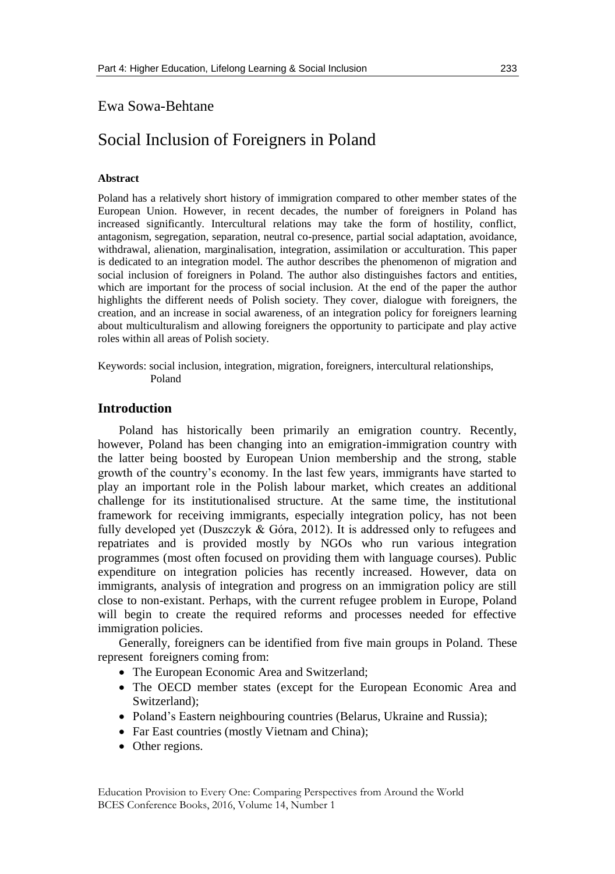## Ewa Sowa-Behtane

# Social Inclusion of Foreigners in Poland

### **Abstract**

Poland has a relatively short history of immigration compared to other member states of the European Union. However, in recent decades, the number of foreigners in Poland has increased significantly. Intercultural relations may take the form of hostility, conflict, antagonism, segregation, separation, neutral co-presence, partial social adaptation, avoidance, withdrawal, alienation, marginalisation, integration, assimilation or acculturation. This paper is dedicated to an integration model. The author describes the phenomenon of migration and social inclusion of foreigners in Poland. The author also distinguishes factors and entities, which are important for the process of social inclusion. At the end of the paper the author highlights the different needs of Polish society. They cover, dialogue with foreigners, the creation, and an increase in social awareness, of an integration policy for foreigners learning about multiculturalism and allowing foreigners the opportunity to participate and play active roles within all areas of Polish society.

Keywords: social inclusion, integration, migration, foreigners, intercultural relationships, Poland

## **Introduction**

Poland has historically been primarily an emigration country. Recently, however, Poland has been changing into an emigration-immigration country with the latter being boosted by European Union membership and the strong, stable growth of the country's economy. In the last few years, immigrants have started to play an important role in the Polish labour market, which creates an additional challenge for its institutionalised structure. At the same time, the institutional framework for receiving immigrants, especially integration policy, has not been fully developed yet (Duszczyk & Góra, 2012). It is addressed only to refugees and repatriates and is provided mostly by NGOs who run various integration programmes (most often focused on providing them with language courses). Public expenditure on integration policies has recently increased. However, data on immigrants, analysis of integration and progress on an immigration policy are still close to non-existant. Perhaps, with the current refugee problem in Europe, Poland will begin to create the required reforms and processes needed for effective immigration policies.

Generally, foreigners can be identified from five main groups in Poland. These represent foreigners coming from:

- The European Economic Area and Switzerland;
- The OECD member states (except for the European Economic Area and Switzerland);
- Poland's Eastern neighbouring countries (Belarus, Ukraine and Russia);
- Far East countries (mostly Vietnam and China);
- Other regions.

Education Provision to Every One: Comparing Perspectives from Around the World BCES Conference Books, 2016, Volume 14, Number 1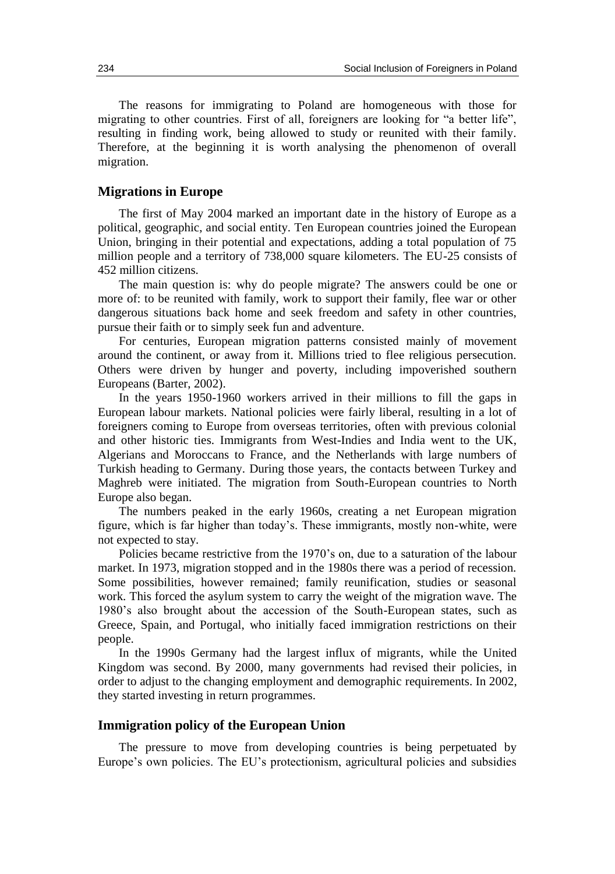The reasons for immigrating to Poland are homogeneous with those for migrating to other countries. First of all, foreigners are looking for "a better life", resulting in finding work, being allowed to study or reunited with their family. Therefore, at the beginning it is worth analysing the phenomenon of overall migration.

#### **Migrations in Europe**

The first of May 2004 marked an important date in the history of Europe as a political, geographic, and social entity. Ten European countries joined the European Union, bringing in their potential and expectations, adding a total population of 75 million people and a territory of 738,000 square kilometers. The EU-25 consists of 452 million citizens.

The main question is: why do people migrate? The answers could be one or more of: to be reunited with family, work to support their family, flee war or other dangerous situations back home and seek freedom and safety in other countries, pursue their faith or to simply seek fun and adventure.

For centuries, European migration patterns consisted mainly of movement around the continent, or away from it. Millions tried to flee religious persecution. Others were driven by hunger and poverty, including impoverished southern Europeans (Barter, 2002).

In the years 1950-1960 workers arrived in their millions to fill the gaps in European labour markets. National policies were fairly liberal, resulting in a lot of foreigners coming to Europe from overseas territories, often with previous colonial and other historic ties. Immigrants from West-Indies and India went to the UK, Algerians and Moroccans to France, and the Netherlands with large numbers of Turkish heading to Germany. During those years, the contacts between Turkey and Maghreb were initiated. The migration from South-European countries to North Europe also began.

The numbers peaked in the early 1960s, creating a net European migration figure, which is far higher than today's. These immigrants, mostly non-white, were not expected to stay.

Policies became restrictive from the 1970's on, due to a saturation of the labour market. In 1973, migration stopped and in the 1980s there was a period of recession. Some possibilities, however remained; family reunification, studies or seasonal work. This forced the asylum system to carry the weight of the migration wave. The 1980's also brought about the accession of the South-European states, such as Greece, Spain, and Portugal, who initially faced immigration restrictions on their people.

In the 1990s Germany had the largest influx of migrants, while the United Kingdom was second. By 2000, many governments had revised their policies, in order to adjust to the changing employment and demographic requirements. In 2002, they started investing in return programmes.

#### **Immigration policy of the European Union**

The pressure to move from developing countries is being perpetuated by Europe's own policies. The EU's protectionism, agricultural policies and subsidies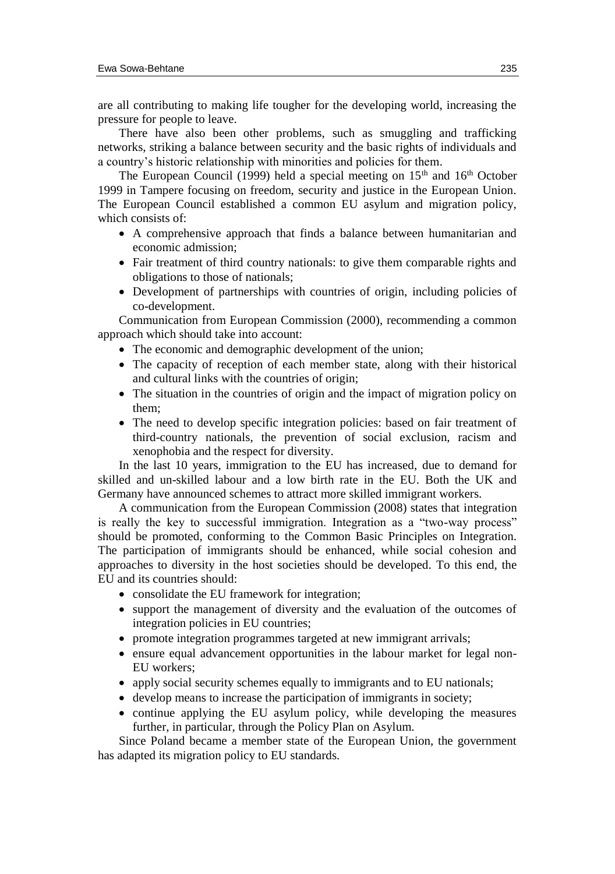are all contributing to making life tougher for the developing world, increasing the pressure for people to leave.

There have also been other problems, such as smuggling and trafficking networks, striking a balance between security and the basic rights of individuals and a country's historic relationship with minorities and policies for them.

The European Council (1999) held a special meeting on  $15<sup>th</sup>$  and  $16<sup>th</sup>$  October 1999 in Tampere focusing on freedom, security and justice in the European Union. The European Council established a common EU asylum and migration policy, which consists of:

- A comprehensive approach that finds a balance between humanitarian and economic admission;
- Fair treatment of third country nationals: to give them comparable rights and obligations to those of nationals;
- Development of partnerships with countries of origin, including policies of co-development.

Communication from European Commission (2000), recommending a common approach which should take into account:

- The economic and demographic development of the union;
- The capacity of reception of each member state, along with their historical and cultural links with the countries of origin;
- The situation in the countries of origin and the impact of migration policy on them;
- The need to develop specific integration policies: based on fair treatment of third-country nationals, the prevention of social exclusion, racism and xenophobia and the respect for diversity.

In the last 10 years, immigration to the EU has increased, due to demand for skilled and un-skilled labour and a low birth rate in the EU. Both the UK and Germany have announced schemes to attract more skilled immigrant workers.

A communication from the European Commission (2008) states that integration is really the key to successful immigration. Integration as a "two-way process" should be promoted, conforming to the Common Basic Principles on Integration. The participation of immigrants should be enhanced, while social cohesion and approaches to diversity in the host societies should be developed. To this end, the EU and its countries should:

- consolidate the EU framework for integration;
- support the management of diversity and the evaluation of the outcomes of integration policies in EU countries;
- promote integration programmes targeted at new immigrant arrivals;
- ensure equal advancement opportunities in the labour market for legal non-EU workers;
- apply social security schemes equally to immigrants and to EU nationals;
- develop means to increase the participation of immigrants in society;
- continue applying the EU asylum policy, while developing the measures further, in particular, through the Policy Plan on Asylum.

Since Poland became a member state of the European Union, the government has adapted its migration policy to EU standards.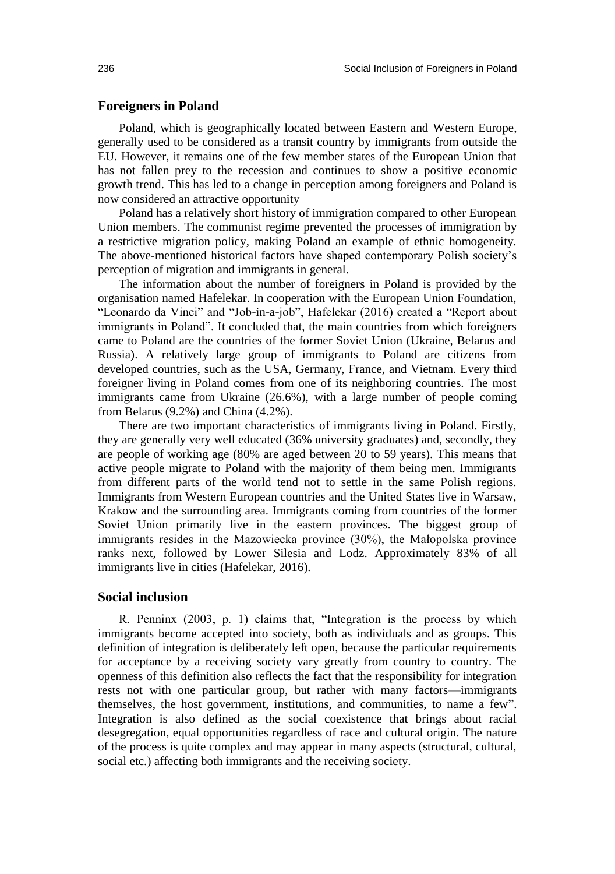#### **Foreigners in Poland**

Poland, which is geographically located between Eastern and Western Europe, generally used to be considered as a transit country by immigrants from outside the EU. However, it remains one of the few member states of the European Union that has not fallen prey to the recession and continues to show a positive economic growth trend. This has led to a change in perception among foreigners and Poland is now considered an attractive opportunity

Poland has a relatively short history of immigration compared to other European Union members. The communist regime prevented the processes of immigration by a restrictive migration policy, making Poland an example of ethnic homogeneity. The above-mentioned historical factors have shaped contemporary Polish society's perception of migration and immigrants in general.

The information about the number of foreigners in Poland is provided by the organisation named Hafelekar. In cooperation with the European Union Foundation, "Leonardo da Vinci" and "Job-in-a-job", Hafelekar (2016) created a "Report about immigrants in Poland". It concluded that, the main countries from which foreigners came to Poland are the countries of the former Soviet Union (Ukraine, Belarus and Russia). A relatively large group of immigrants to Poland are citizens from developed countries, such as the USA, Germany, France, and Vietnam. Every third foreigner living in Poland comes from one of its neighboring countries. The most immigrants came from Ukraine (26.6%), with a large number of people coming from Belarus (9.2%) and China (4.2%).

There are two important characteristics of immigrants living in Poland. Firstly, they are generally very well educated (36% university graduates) and, secondly, they are people of working age (80% are aged between 20 to 59 years). This means that active people migrate to Poland with the majority of them being men. Immigrants from different parts of the world tend not to settle in the same Polish regions. Immigrants from Western European countries and the United States live in Warsaw, Krakow and the surrounding area. Immigrants coming from countries of the former Soviet Union primarily live in the eastern provinces. The biggest group of immigrants resides in the Mazowiecka province (30%), the Małopolska province ranks next, followed by Lower Silesia and Lodz. Approximately 83% of all immigrants live in cities (Hafelekar, 2016).

#### **Social inclusion**

R. Penninx (2003, p. 1) claims that, "Integration is the process by which immigrants become accepted into society, both as individuals and as groups. This definition of integration is deliberately left open, because the particular requirements for acceptance by a receiving society vary greatly from country to country. The openness of this definition also reflects the fact that the responsibility for integration rests not with one particular group, but rather with many factors—immigrants themselves, the host government, institutions, and communities, to name a few". Integration is also defined as the social coexistence that brings about racial desegregation, equal opportunities regardless of race and cultural origin. The nature of the process is quite complex and may appear in many aspects (structural, cultural, social etc.) affecting both immigrants and the receiving society.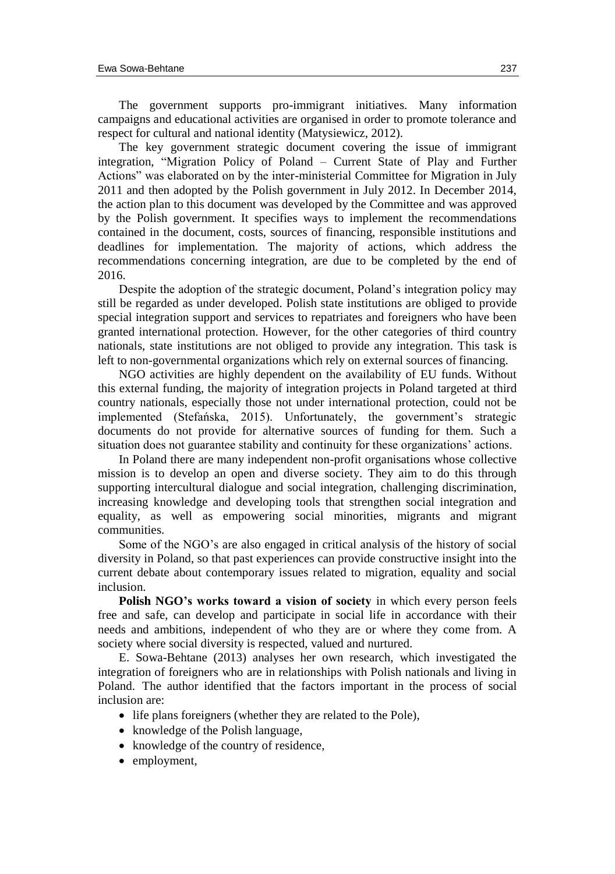The government supports pro-immigrant initiatives. Many information campaigns and educational activities are organised in order to promote tolerance and respect for cultural and national identity (Matysiewicz, 2012).

The key government strategic document covering the issue of immigrant integration, "Migration Policy of Poland – Current State of Play and Further Actions" was elaborated on by the inter-ministerial Committee for Migration in July 2011 and then adopted by the Polish government in July 2012. In December 2014, the action plan to this document was developed by the Committee and was approved by the Polish government. It specifies ways to implement the recommendations contained in the document, costs, sources of financing, responsible institutions and deadlines for implementation. The majority of actions, which address the recommendations concerning integration, are due to be completed by the end of 2016.

Despite the adoption of the strategic document, Poland's integration policy may still be regarded as under developed. Polish state institutions are obliged to provide special integration support and services to repatriates and foreigners who have been granted international protection. However, for the other categories of third country nationals, state institutions are not obliged to provide any integration. This task is left to non-governmental organizations which rely on external sources of financing.

NGO activities are highly dependent on the availability of EU funds. Without this external funding, the majority of integration projects in Poland targeted at third country nationals, especially those not under international protection, could not be implemented (Stefańska, 2015). Unfortunately, the government's strategic documents do not provide for alternative sources of funding for them. Such a situation does not guarantee stability and continuity for these organizations' actions.

In Poland there are many independent non-profit organisations whose collective mission is to develop an open and diverse society. They aim to do this through supporting intercultural dialogue and social integration, challenging discrimination, increasing knowledge and developing tools that strengthen social integration and equality, as well as empowering social minorities, migrants and migrant communities.

Some of the NGO's are also engaged in critical analysis of the history of social diversity in Poland, so that past experiences can provide constructive insight into the current debate about contemporary issues related to migration, equality and social inclusion.

**Polish NGO's works toward a vision of society** in which every person feels free and safe, can develop and participate in social life in accordance with their needs and ambitions, independent of who they are or where they come from. A society where social diversity is respected, valued and nurtured.

E. Sowa-Behtane (2013) analyses her own research, which investigated the integration of foreigners who are in relationships with Polish nationals and living in Poland. The author identified that the factors important in the process of social inclusion are:

- life plans foreigners (whether they are related to the Pole),
- knowledge of the Polish language,
- knowledge of the country of residence,
- employment,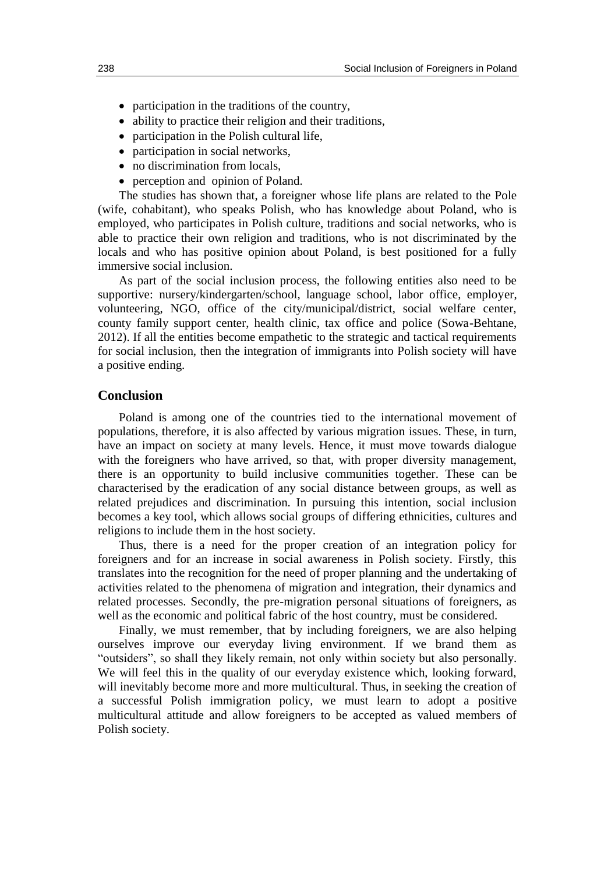- participation in the traditions of the country,
- ability to practice their religion and their traditions,
- participation in the Polish cultural life.
- participation in social networks,
- no discrimination from locals.
- perception and opinion of Poland.

The studies has shown that, a foreigner whose life plans are related to the Pole (wife, cohabitant), who speaks Polish, who has knowledge about Poland, who is employed, who participates in Polish culture, traditions and social networks, who is able to practice their own religion and traditions, who is not discriminated by the locals and who has positive opinion about Poland, is best positioned for a fully immersive social inclusion.

As part of the social inclusion process, the following entities also need to be supportive: nursery/kindergarten/school, language school, labor office, employer, volunteering, NGO, office of the city/municipal/district, social welfare center, county family support center, health clinic, tax office and police (Sowa-Behtane, 2012). If all the entities become empathetic to the strategic and tactical requirements for social inclusion, then the integration of immigrants into Polish society will have a positive ending.

#### **Conclusion**

Poland is among one of the countries tied to the international movement of populations, therefore, it is also affected by various migration issues. These, in turn, have an impact on society at many levels. Hence, it must move towards dialogue with the foreigners who have arrived, so that, with proper diversity management, there is an opportunity to build inclusive communities together. These can be characterised by the eradication of any social distance between groups, as well as related prejudices and discrimination. In pursuing this intention, social inclusion becomes a key tool, which allows social groups of differing ethnicities, cultures and religions to include them in the host society.

Thus, there is a need for the proper creation of an integration policy for foreigners and for an increase in social awareness in Polish society. Firstly, this translates into the recognition for the need of proper planning and the undertaking of activities related to the phenomena of migration and integration, their dynamics and related processes. Secondly, the pre-migration personal situations of foreigners, as well as the economic and political fabric of the host country, must be considered.

Finally, we must remember, that by including foreigners, we are also helping ourselves improve our everyday living environment. If we brand them as "outsiders", so shall they likely remain, not only within society but also personally. We will feel this in the quality of our everyday existence which, looking forward, will inevitably become more and more multicultural. Thus, in seeking the creation of a successful Polish immigration policy, we must learn to adopt a positive multicultural attitude and allow foreigners to be accepted as valued members of Polish society.